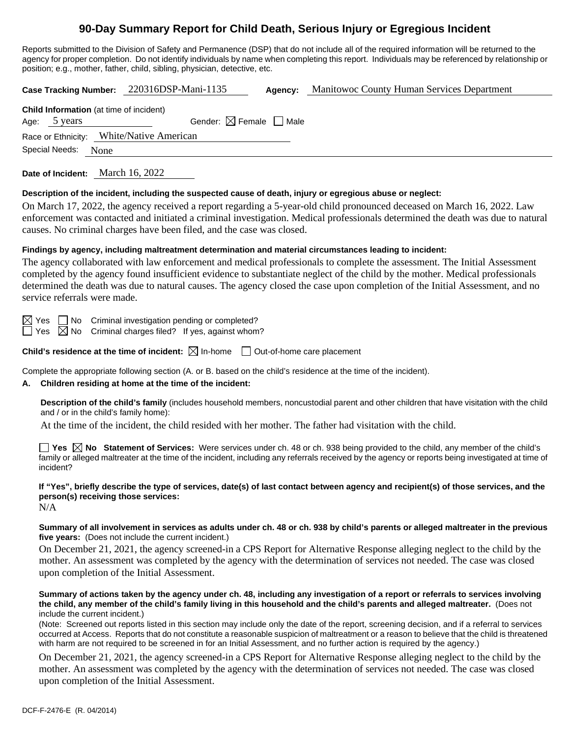# **90-Day Summary Report for Child Death, Serious Injury or Egregious Incident**

Reports submitted to the Division of Safety and Permanence (DSP) that do not include all of the required information will be returned to the agency for proper completion. Do not identify individuals by name when completing this report. Individuals may be referenced by relationship or position; e.g., mother, father, child, sibling, physician, detective, etc.

**Case Tracking Number:** 220316DSP-Mani-1135 **Agency:** Manitowoc County Human Services Department

| <b>Child Information</b> (at time of incident) |              |                                        |  |  |  |  |
|------------------------------------------------|--------------|----------------------------------------|--|--|--|--|
|                                                | Age: 5 years | Gender: $\boxtimes$ Female $\Box$ Male |  |  |  |  |
| Race or Ethnicity: White/Native American       |              |                                        |  |  |  |  |
| Special Needs: None                            |              |                                        |  |  |  |  |

**Date of Incident:** March 16, 2022

# **Description of the incident, including the suspected cause of death, injury or egregious abuse or neglect:**

On March 17, 2022, the agency received a report regarding a 5-year-old child pronounced deceased on March 16, 2022. Law enforcement was contacted and initiated a criminal investigation. Medical professionals determined the death was due to natural causes. No criminal charges have been filed, and the case was closed.

# **Findings by agency, including maltreatment determination and material circumstances leading to incident:**

The agency collaborated with law enforcement and medical professionals to complete the assessment. The Initial Assessment completed by the agency found insufficient evidence to substantiate neglect of the child by the mother. Medical professionals determined the death was due to natural causes. The agency closed the case upon completion of the Initial Assessment, and no service referrals were made.

 $\boxtimes$  Yes  $\Box$  No Criminal investigation pending or completed?

 $\Box$  Yes  $\boxtimes$  No Criminal charges filed? If yes, against whom?

# **Child's residence at the time of incident:**  $\boxtimes$  In-home  $\Box$  Out-of-home care placement

Complete the appropriate following section (A. or B. based on the child's residence at the time of the incident).

# **A. Children residing at home at the time of the incident:**

**Description of the child's family** (includes household members, noncustodial parent and other children that have visitation with the child and / or in the child's family home):

At the time of the incident, the child resided with her mother. The father had visitation with the child.

**Yes No Statement of Services:** Were services under ch. 48 or ch. 938 being provided to the child, any member of the child's family or alleged maltreater at the time of the incident, including any referrals received by the agency or reports being investigated at time of incident?

**If "Yes", briefly describe the type of services, date(s) of last contact between agency and recipient(s) of those services, and the person(s) receiving those services:** N/A

**Summary of all involvement in services as adults under ch. 48 or ch. 938 by child's parents or alleged maltreater in the previous five years:** (Does not include the current incident.)

On December 21, 2021, the agency screened-in a CPS Report for Alternative Response alleging neglect to the child by the mother. An assessment was completed by the agency with the determination of services not needed. The case was closed upon completion of the Initial Assessment.

**Summary of actions taken by the agency under ch. 48, including any investigation of a report or referrals to services involving the child, any member of the child's family living in this household and the child's parents and alleged maltreater.** (Does not include the current incident.)

(Note: Screened out reports listed in this section may include only the date of the report, screening decision, and if a referral to services occurred at Access. Reports that do not constitute a reasonable suspicion of maltreatment or a reason to believe that the child is threatened with harm are not required to be screened in for an Initial Assessment, and no further action is required by the agency.)

On December 21, 2021, the agency screened-in a CPS Report for Alternative Response alleging neglect to the child by the mother. An assessment was completed by the agency with the determination of services not needed. The case was closed upon completion of the Initial Assessment.